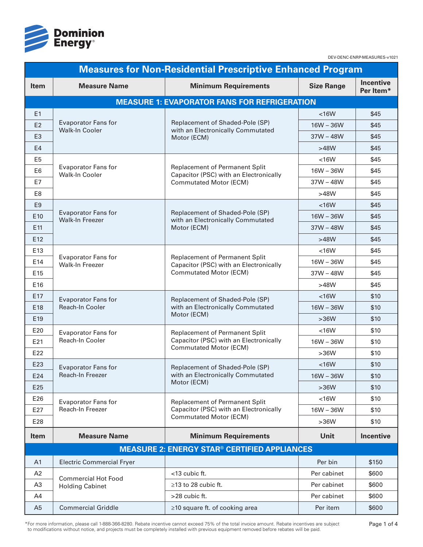

| <b>Measures for Non-Residential Prescriptive Enhanced Program</b> |                                                      |                                                                                                                  |                   |                               |  |
|-------------------------------------------------------------------|------------------------------------------------------|------------------------------------------------------------------------------------------------------------------|-------------------|-------------------------------|--|
| <b>Item</b>                                                       | <b>Measure Name</b>                                  | <b>Minimum Requirements</b>                                                                                      | <b>Size Range</b> | <b>Incentive</b><br>Per Item* |  |
|                                                                   |                                                      | <b>MEASURE 1: EVAPORATOR FANS FOR REFRIGERATION</b>                                                              |                   |                               |  |
| E1                                                                | <b>Evaporator Fans for</b><br>Walk-In Cooler         |                                                                                                                  | < 16W             | \$45                          |  |
| E <sub>2</sub>                                                    |                                                      | Replacement of Shaded-Pole (SP)<br>with an Electronically Commutated<br>Motor (ECM)                              | $16W - 36W$       | \$45                          |  |
| E <sub>3</sub>                                                    |                                                      |                                                                                                                  | $37W - 48W$       | \$45                          |  |
| E4                                                                |                                                      |                                                                                                                  | >48W              | \$45                          |  |
| E <sub>5</sub>                                                    | <b>Evaporator Fans for</b><br>Walk-In Cooler         | Replacement of Permanent Split<br>Capacitor (PSC) with an Electronically<br><b>Commutated Motor (ECM)</b>        | < 16W             | \$45                          |  |
| E <sub>6</sub>                                                    |                                                      |                                                                                                                  | $16W - 36W$       | \$45                          |  |
| E7                                                                |                                                      |                                                                                                                  | $37W - 48W$       | \$45                          |  |
| E8                                                                |                                                      |                                                                                                                  | >48W              | \$45                          |  |
| E <sub>9</sub>                                                    |                                                      |                                                                                                                  | < 16W             | \$45                          |  |
| E10                                                               | <b>Evaporator Fans for</b><br><b>Walk-In Freezer</b> | Replacement of Shaded-Pole (SP)<br>with an Electronically Commutated                                             | $16W - 36W$       | \$45                          |  |
| E11                                                               |                                                      | Motor (ECM)                                                                                                      | $37W - 48W$       | \$45                          |  |
| E12                                                               |                                                      |                                                                                                                  | >48W              | \$45                          |  |
| E13                                                               |                                                      | <b>Replacement of Permanent Split</b><br>Capacitor (PSC) with an Electronically<br><b>Commutated Motor (ECM)</b> | < 16W             | \$45                          |  |
| E14                                                               | <b>Evaporator Fans for</b><br><b>Walk-In Freezer</b> |                                                                                                                  | $16W - 36W$       | \$45                          |  |
| E15                                                               |                                                      |                                                                                                                  | $37W - 48W$       | \$45                          |  |
| E16                                                               |                                                      |                                                                                                                  | >48W              | \$45                          |  |
| E17                                                               | <b>Evaporator Fans for</b>                           | Replacement of Shaded-Pole (SP)<br>with an Electronically Commutated<br>Motor (ECM)                              | < 16W             | \$10                          |  |
| E18                                                               | Reach-In Cooler                                      |                                                                                                                  | $16W - 36W$       | \$10                          |  |
| E19                                                               |                                                      |                                                                                                                  | $>36W$            | \$10                          |  |
| E20                                                               | <b>Evaporator Fans for</b>                           | Replacement of Permanent Split<br>Capacitor (PSC) with an Electronically<br><b>Commutated Motor (ECM)</b>        | < 16W             | \$10                          |  |
| E21                                                               | Reach-In Cooler                                      |                                                                                                                  | $16W - 36W$       | \$10                          |  |
| E22                                                               |                                                      |                                                                                                                  | $>36W$            | \$10                          |  |
| E23                                                               | <b>Evaporator Fans for</b>                           | Replacement of Shaded-Pole (SP)<br>with an Electronically Commutated<br>Motor (ECM)                              | < 16W             | \$10                          |  |
| E24                                                               | Reach-In Freezer                                     |                                                                                                                  | $16W - 36W$       | \$10                          |  |
| E25                                                               |                                                      |                                                                                                                  | $>36W$            | \$10                          |  |
| E26                                                               | <b>Evaporator Fans for</b>                           | <b>Replacement of Permanent Split</b>                                                                            | < 16W             | \$10                          |  |
| E27                                                               | Reach-In Freezer                                     | Capacitor (PSC) with an Electronically                                                                           | $16W - 36W$       | \$10                          |  |
| E28                                                               |                                                      | <b>Commutated Motor (ECM)</b>                                                                                    | $>36W$            | \$10                          |  |
| <b>Item</b>                                                       | <b>Measure Name</b>                                  | <b>Minimum Requirements</b>                                                                                      | Unit              | <b>Incentive</b>              |  |
| <b>MEASURE 2: ENERGY STAR® CERTIFIED APPLIANCES</b>               |                                                      |                                                                                                                  |                   |                               |  |
| A <sub>1</sub>                                                    | <b>Electric Commercial Fryer</b>                     |                                                                                                                  | Per bin           | \$150                         |  |
| A2                                                                |                                                      | <13 cubic ft.                                                                                                    | Per cabinet       | \$600                         |  |
| A3                                                                | <b>Commercial Hot Food</b><br><b>Holding Cabinet</b> | $\geq$ 13 to 28 cubic ft.                                                                                        | Per cabinet       | \$600                         |  |
| A4                                                                |                                                      | >28 cubic ft.                                                                                                    | Per cabinet       | \$600                         |  |
| A <sub>5</sub>                                                    | <b>Commercial Griddle</b>                            | ≥10 square ft. of cooking area                                                                                   | Per item          | \$600                         |  |

\*For more information, please call 1-888-366-8280. Rebate incentive cannot exceed 75% of the total invoice amount. Rebate incentives are subject to modifications without notice, and projects must be completely installed wi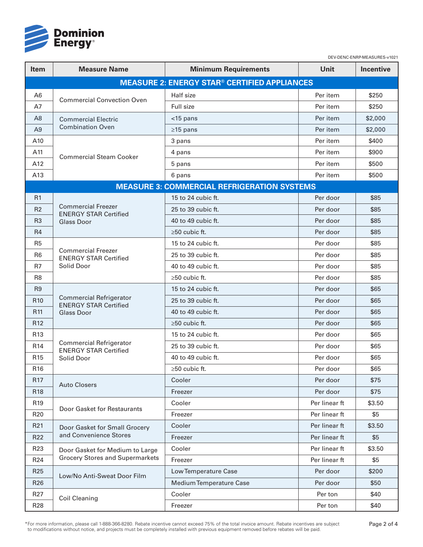

| <b>Item</b>     | <b>Measure Name</b>                                            | <b>Minimum Requirements</b>                         | Unit          | Incentive |
|-----------------|----------------------------------------------------------------|-----------------------------------------------------|---------------|-----------|
|                 |                                                                | <b>MEASURE 2: ENERGY STAR® CERTIFIED APPLIANCES</b> |               |           |
| A <sub>6</sub>  | <b>Commercial Convection Oven</b>                              | Half size                                           | Per item      | \$250     |
| A7              |                                                                | Full size                                           | Per item      | \$250     |
| A <sub>8</sub>  | <b>Commercial Electric</b><br><b>Combination Oven</b>          | $<$ 15 pans                                         | Per item      | \$2,000   |
| A <sub>9</sub>  |                                                                | $\geq$ 15 pans                                      | Per item      | \$2,000   |
| A10             | <b>Commercial Steam Cooker</b>                                 | 3 pans                                              | Per item      | \$400     |
| A11             |                                                                | 4 pans                                              | Per item      | \$900     |
| A12             |                                                                | 5 pans                                              | Per item      | \$500     |
| A13             |                                                                | 6 pans                                              | Per item      | \$500     |
|                 |                                                                | <b>MEASURE 3: COMMERCIAL REFRIGERATION SYSTEMS</b>  |               |           |
| R1              |                                                                | 15 to 24 cubic ft.                                  | Per door      | \$85      |
| R <sub>2</sub>  | <b>Commercial Freezer</b><br><b>ENERGY STAR Certified</b>      | 25 to 39 cubic ft.                                  | Per door      | \$85      |
| R <sub>3</sub>  | <b>Glass Door</b>                                              | 40 to 49 cubic ft.                                  | Per door      | \$85      |
| R4              |                                                                | $\geq 50$ cubic ft.                                 | Per door      | \$85      |
| R <sub>5</sub>  |                                                                | 15 to 24 cubic ft.                                  | Per door      | \$85      |
| R <sub>6</sub>  | <b>Commercial Freezer</b><br><b>ENERGY STAR Certified</b>      | 25 to 39 cubic ft.                                  | Per door      | \$85      |
| R7              | Solid Door                                                     | 40 to 49 cubic ft.                                  | Per door      | \$85      |
| R <sub>8</sub>  |                                                                | ≥50 cubic ft.                                       | Per door      | \$85      |
| R <sub>9</sub>  |                                                                | 15 to 24 cubic ft.                                  | Per door      | \$65      |
| R <sub>10</sub> | <b>Commercial Refrigerator</b><br><b>ENERGY STAR Certified</b> | 25 to 39 cubic ft.                                  | Per door      | \$65      |
| R <sub>11</sub> | <b>Glass Door</b>                                              | 40 to 49 cubic ft.                                  | Per door      | \$65      |
| R <sub>12</sub> |                                                                | $\geq 50$ cubic ft.                                 | Per door      | \$65      |
| R <sub>13</sub> |                                                                | 15 to 24 cubic ft.                                  | Per door      | \$65      |
| R <sub>14</sub> | <b>Commercial Refrigerator</b><br><b>ENERGY STAR Certified</b> | 25 to 39 cubic ft.                                  | Per door      | \$65      |
| R <sub>15</sub> | Solid Door                                                     | 40 to 49 cubic ft.                                  | Per door      | \$65      |
| R <sub>16</sub> |                                                                | $\geq 50$ cubic ft.                                 | Per door      | \$65      |
| R <sub>17</sub> | <b>Auto Closers</b>                                            | Cooler                                              | Per door      | \$75      |
| R <sub>18</sub> |                                                                | Freezer                                             | Per door      | \$75      |
| R <sub>19</sub> | Door Gasket for Restaurants                                    | Cooler                                              | Per linear ft | \$3.50    |
| R <sub>20</sub> |                                                                | Freezer                                             | Per linear ft | \$5       |
| R <sub>21</sub> | Door Gasket for Small Grocery                                  | Cooler                                              | Per linear ft | \$3.50    |
| R <sub>22</sub> | and Convenience Stores                                         | Freezer                                             | Per linear ft | \$5       |
| R <sub>23</sub> | Door Gasket for Medium to Large                                | Cooler                                              | Per linear ft | \$3.50    |
| R <sub>24</sub> | <b>Grocery Stores and Supermarkets</b>                         | Freezer                                             | Per linear ft | \$5       |
| R <sub>25</sub> | Low/No Anti-Sweat Door Film                                    | Low Temperature Case                                | Per door      | \$200     |
| R <sub>26</sub> |                                                                | Medium Temperature Case                             | Per door      | \$50      |
| R <sub>27</sub> | <b>Coil Cleaning</b>                                           | Cooler                                              | Per ton       | \$40      |
| R <sub>28</sub> |                                                                | Freezer                                             | Per ton       | \$40      |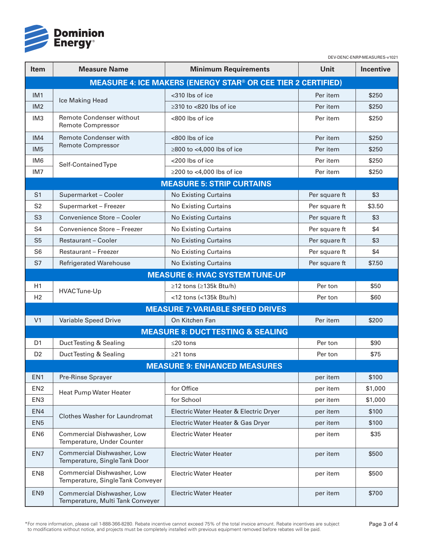

| ltem                                                                | <b>Measure Name</b>                                             | <b>Minimum Requirements</b>                 | <b>Unit</b>   | <b>Incentive</b> |  |
|---------------------------------------------------------------------|-----------------------------------------------------------------|---------------------------------------------|---------------|------------------|--|
| <b>MEASURE 4: ICE MAKERS (ENERGY STAR® OR CEE TIER 2 CERTIFIED)</b> |                                                                 |                                             |               |                  |  |
| IM <sub>1</sub>                                                     | Ice Making Head                                                 | <310 lbs of ice                             | Per item      | \$250            |  |
| IM2                                                                 |                                                                 | $\geq$ 310 to <820 lbs of ice               | Per item      | \$250            |  |
| IM <sub>3</sub>                                                     | <b>Remote Condenser without</b><br><b>Remote Compressor</b>     | <800 lbs of ice                             | Per item      | \$250            |  |
| IM4                                                                 | <b>Remote Condenser with</b>                                    | <800 lbs of ice                             | Per item      | \$250            |  |
| IM <sub>5</sub>                                                     | <b>Remote Compressor</b>                                        | $\geq$ 800 to <4,000 lbs of ice             | Per item      | \$250            |  |
| IM <sub>6</sub>                                                     | Self-Contained Type                                             | <200 lbs of ice                             | Per item      | \$250            |  |
| IM <sub>7</sub>                                                     |                                                                 | $\geq$ 200 to <4,000 lbs of ice             | Per item      | \$250            |  |
|                                                                     |                                                                 | <b>MEASURE 5: STRIP CURTAINS</b>            |               |                  |  |
| S <sub>1</sub>                                                      | Supermarket - Cooler                                            | <b>No Existing Curtains</b>                 | Per square ft | \$3              |  |
| S <sub>2</sub>                                                      | Supermarket - Freezer                                           | <b>No Existing Curtains</b>                 | Per square ft | \$3.50           |  |
| S <sub>3</sub>                                                      | Convenience Store - Cooler                                      | <b>No Existing Curtains</b>                 | Per square ft | \$3              |  |
| S <sub>4</sub>                                                      | Convenience Store - Freezer                                     | <b>No Existing Curtains</b>                 | Per square ft | \$4              |  |
| S <sub>5</sub>                                                      | <b>Restaurant - Cooler</b>                                      | <b>No Existing Curtains</b>                 | Per square ft | \$3              |  |
| S <sub>6</sub>                                                      | <b>Restaurant - Freezer</b>                                     | No Existing Curtains                        | Per square ft | \$4              |  |
| S7                                                                  | <b>Refrigerated Warehouse</b>                                   | <b>No Existing Curtains</b>                 | Per square ft | \$7.50           |  |
|                                                                     |                                                                 | <b>MEASURE 6: HVAC SYSTEM TUNE-UP</b>       |               |                  |  |
| H1                                                                  | HVACTune-Up                                                     | ≥12 tons (≥135k Btu/h)                      | Per ton       | \$50             |  |
| H <sub>2</sub>                                                      |                                                                 | <12 tons (<135k Btu/h)                      | Per ton       | \$60             |  |
|                                                                     |                                                                 | <b>MEASURE 7: VARIABLE SPEED DRIVES</b>     |               |                  |  |
| V <sub>1</sub>                                                      | Variable Speed Drive                                            | On Kitchen Fan                              | Per item      | \$200            |  |
|                                                                     |                                                                 | <b>MEASURE 8: DUCTTESTING &amp; SEALING</b> |               |                  |  |
| D <sub>1</sub>                                                      | Duct Testing & Sealing                                          | $≤20$ tons                                  | Per ton       | \$90             |  |
| D <sub>2</sub>                                                      | Duct Testing & Sealing                                          | $\geq$ 21 tons                              | Per ton       | \$75             |  |
|                                                                     |                                                                 | <b>MEASURE 9: ENHANCED MEASURES</b>         |               |                  |  |
| EN <sub>1</sub>                                                     | Pre-Rinse Sprayer                                               |                                             | per item      | \$100            |  |
| EN <sub>2</sub>                                                     | Heat Pump Water Heater                                          | for Office                                  | per item      | \$1,000          |  |
| EN <sub>3</sub>                                                     |                                                                 | for School                                  | per item      | \$1,000          |  |
| EN4                                                                 | <b>Clothes Washer for Laundromat</b>                            | Electric Water Heater & Electric Dryer      | per item      | \$100            |  |
| EN <sub>5</sub>                                                     |                                                                 | Electric Water Heater & Gas Dryer           | per item      | \$100            |  |
| EN <sub>6</sub>                                                     | Commercial Dishwasher, Low<br>Temperature, Under Counter        | <b>Electric Water Heater</b>                | per item      | \$35             |  |
| EN7                                                                 | Commercial Dishwasher, Low<br>Temperature, Single Tank Door     | <b>Electric Water Heater</b>                | per item      | \$500            |  |
| EN <sub>8</sub>                                                     | Commercial Dishwasher, Low<br>Temperature, Single Tank Conveyer | <b>Electric Water Heater</b>                | per item      | \$500            |  |
| EN <sub>9</sub>                                                     | Commercial Dishwasher, Low<br>Temperature, Multi Tank Conveyer  | <b>Electric Water Heater</b>                | per item      | \$700            |  |